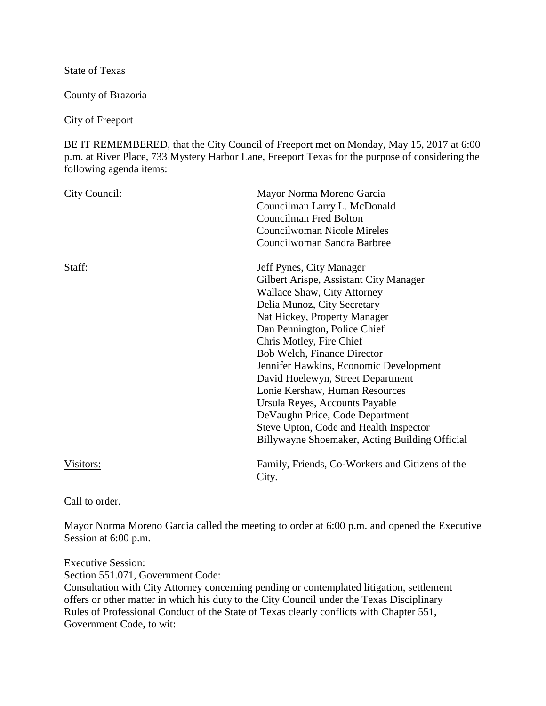State of Texas

County of Brazoria

City of Freeport

BE IT REMEMBERED, that the City Council of Freeport met on Monday, May 15, 2017 at 6:00 p.m. at River Place, 733 Mystery Harbor Lane, Freeport Texas for the purpose of considering the following agenda items:

| City Council: | Mayor Norma Moreno Garcia<br>Councilman Larry L. McDonald<br><b>Councilman Fred Bolton</b><br>Councilwoman Nicole Mireles<br>Councilwoman Sandra Barbree                                                                                                                                                                                                                                                                                                                                                                                       |
|---------------|------------------------------------------------------------------------------------------------------------------------------------------------------------------------------------------------------------------------------------------------------------------------------------------------------------------------------------------------------------------------------------------------------------------------------------------------------------------------------------------------------------------------------------------------|
| Staff:        | Jeff Pynes, City Manager<br>Gilbert Arispe, Assistant City Manager<br>Wallace Shaw, City Attorney<br>Delia Munoz, City Secretary<br>Nat Hickey, Property Manager<br>Dan Pennington, Police Chief<br>Chris Motley, Fire Chief<br>Bob Welch, Finance Director<br>Jennifer Hawkins, Economic Development<br>David Hoelewyn, Street Department<br>Lonie Kershaw, Human Resources<br>Ursula Reyes, Accounts Payable<br>De Vaughn Price, Code Department<br>Steve Upton, Code and Health Inspector<br>Billywayne Shoemaker, Acting Building Official |
| Visitors:     | Family, Friends, Co-Workers and Citizens of the<br>City.                                                                                                                                                                                                                                                                                                                                                                                                                                                                                       |

Call to order.

Mayor Norma Moreno Garcia called the meeting to order at 6:00 p.m. and opened the Executive Session at 6:00 p.m.

Executive Session:

Section 551.071, Government Code:

Consultation with City Attorney concerning pending or contemplated litigation, settlement offers or other matter in which his duty to the City Council under the Texas Disciplinary Rules of Professional Conduct of the State of Texas clearly conflicts with Chapter 551, Government Code, to wit: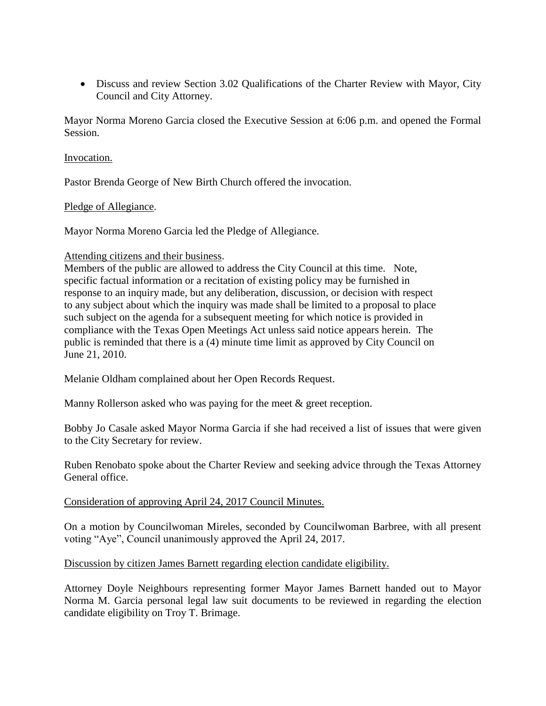• Discuss and review Section 3.02 Qualifications of the Charter Review with Mayor, City Council and City Attorney.

Mayor Norma Moreno Garcia closed the Executive Session at 6:06 p.m. and opened the Formal Session.

#### Invocation.

Pastor Brenda George of New Birth Church offered the invocation.

### Pledge of Allegiance.

Mayor Norma Moreno Garcia led the Pledge of Allegiance.

#### Attending citizens and their business.

Members of the public are allowed to address the City Council at this time. Note, specific factual information or a recitation of existing policy may be furnished in response to an inquiry made, but any deliberation, discussion, or decision with respect to any subject about which the inquiry was made shall be limited to a proposal to place such subject on the agenda for a subsequent meeting for which notice is provided in compliance with the Texas Open Meetings Act unless said notice appears herein. The public is reminded that there is a (4) minute time limit as approved by City Council on June 21, 2010.

Melanie Oldham complained about her Open Records Request.

Manny Rollerson asked who was paying for the meet & greet reception.

Bobby Jo Casale asked Mayor Norma Garcia if she had received a list of issues that were given to the City Secretary for review.

Ruben Renobato spoke about the Charter Review and seeking advice through the Texas Attorney General office.

### Consideration of approving April 24, 2017 Council Minutes.

On a motion by Councilwoman Mireles, seconded by Councilwoman Barbree, with all present voting "Aye", Council unanimously approved the April 24, 2017.

### Discussion by citizen James Barnett regarding election candidate eligibility.

Attorney Doyle Neighbours representing former Mayor James Barnett handed out to Mayor Norma M. Garcia personal legal law suit documents to be reviewed in regarding the election candidate eligibility on Troy T. Brimage.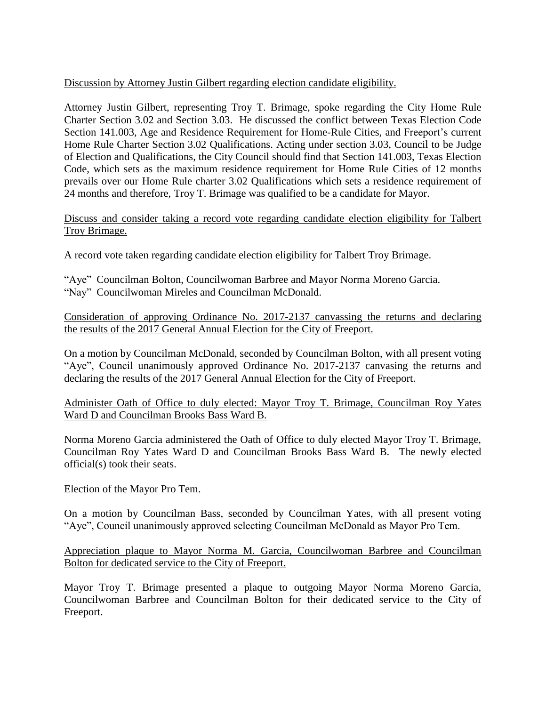# Discussion by Attorney Justin Gilbert regarding election candidate eligibility.

Attorney Justin Gilbert, representing Troy T. Brimage, spoke regarding the City Home Rule Charter Section 3.02 and Section 3.03. He discussed the conflict between Texas Election Code Section 141.003, Age and Residence Requirement for Home-Rule Cities, and Freeport's current Home Rule Charter Section 3.02 Qualifications. Acting under section 3.03, Council to be Judge of Election and Qualifications, the City Council should find that Section 141.003, Texas Election Code, which sets as the maximum residence requirement for Home Rule Cities of 12 months prevails over our Home Rule charter 3.02 Qualifications which sets a residence requirement of 24 months and therefore, Troy T. Brimage was qualified to be a candidate for Mayor.

## Discuss and consider taking a record vote regarding candidate election eligibility for Talbert Troy Brimage.

A record vote taken regarding candidate election eligibility for Talbert Troy Brimage.

"Aye" Councilman Bolton, Councilwoman Barbree and Mayor Norma Moreno Garcia. "Nay" Councilwoman Mireles and Councilman McDonald.

Consideration of approving Ordinance No. 2017-2137 canvassing the returns and declaring the results of the 2017 General Annual Election for the City of Freeport.

On a motion by Councilman McDonald, seconded by Councilman Bolton, with all present voting "Aye", Council unanimously approved Ordinance No. 2017-2137 canvasing the returns and declaring the results of the 2017 General Annual Election for the City of Freeport.

Administer Oath of Office to duly elected: Mayor Troy T. Brimage, Councilman Roy Yates Ward D and Councilman Brooks Bass Ward B.

Norma Moreno Garcia administered the Oath of Office to duly elected Mayor Troy T. Brimage, Councilman Roy Yates Ward D and Councilman Brooks Bass Ward B. The newly elected official(s) took their seats.

### Election of the Mayor Pro Tem.

On a motion by Councilman Bass, seconded by Councilman Yates, with all present voting "Aye", Council unanimously approved selecting Councilman McDonald as Mayor Pro Tem.

## Appreciation plaque to Mayor Norma M. Garcia, Councilwoman Barbree and Councilman Bolton for dedicated service to the City of Freeport.

Mayor Troy T. Brimage presented a plaque to outgoing Mayor Norma Moreno Garcia, Councilwoman Barbree and Councilman Bolton for their dedicated service to the City of Freeport.